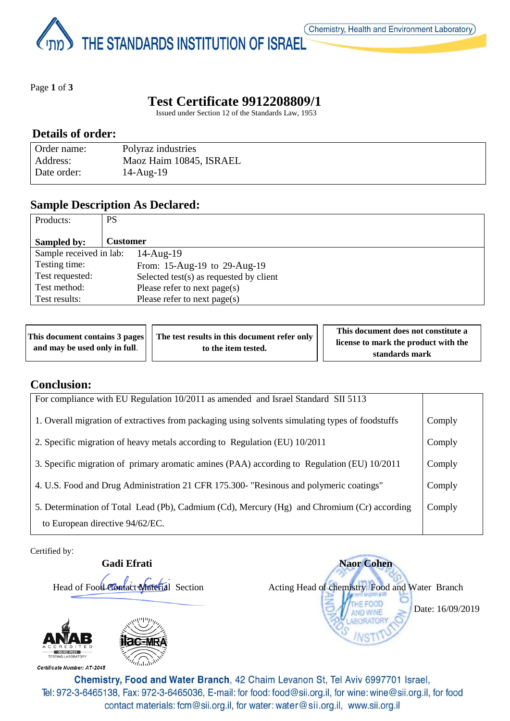THE STANDARDS INSTITUTION OF ISRAEL

Page **1** of **3**

# **Test Certificate 9912208809/1**

Issued under Section 12 of the Standards Law, 1953

#### **Details of order:**

| Order name: | Polyraz industries      |
|-------------|-------------------------|
| Address:    | Maoz Haim 10845, ISRAEL |
| Date order: | $14$ -Aug- $19$         |

### **Sample Description As Declared:**

| Products:               | PS                                         |
|-------------------------|--------------------------------------------|
| Sampled by:             | <b>Customer</b>                            |
| Sample received in lab: | $14$ -Aug- $19$                            |
| Testing time:           | From: 15-Aug-19 to 29-Aug-19               |
| Test requested:         | Selected test $(s)$ as requested by client |
| Test method:            | Please refer to next page(s)               |
| Test results:           | Please refer to next page(s)               |

| This document contains 3 pages     The test results in this document refer only |  |                     | This document does not constitute a  |
|---------------------------------------------------------------------------------|--|---------------------|--------------------------------------|
| and may be used only in full.                                                   |  | to the item tested. | license to mark the product with the |
|                                                                                 |  | standards mark      |                                      |

### **Conclusion:**

| For compliance with EU Regulation 10/2011 as amended and Israel Standard SII 5113                |        |
|--------------------------------------------------------------------------------------------------|--------|
| 1. Overall migration of extractives from packaging using solvents simulating types of foodstuffs | Comply |
| 2. Specific migration of heavy metals according to Regulation (EU) 10/2011                       | Comply |
| 3. Specific migration of primary aromatic amines (PAA) according to Regulation (EU) 10/2011      | Comply |
| 4. U.S. Food and Drug Administration 21 CFR 175.300- "Resinous and polymeric coatings"           | Comply |
| 5. Determination of Total Lead (Pb), Cadmium (Cd), Mercury (Hg) and Chromium (Cr) according      | Comply |
| to European directive 94/62/EC.                                                                  |        |

Certified by:



 **Gadi Efrati Naor Cohen** Head of Food Contact Material Section Acting Head of chemistry Food and Water Branch OOD Date: 16/09/2019

Certificate Number: AT-2045



Chemistry, Food and Water Branch, 42 Chaim Levanon St, Tel Aviv 6997701 Israel, Tel: 972-3-6465138, Fax: 972-3-6465036, E-mail: for food: food@sii.org.il, for wine: wine@sii.org.il, for food contact materials: fcm@sii.org.il, for water: water@sii.org.il, www.sii.org.il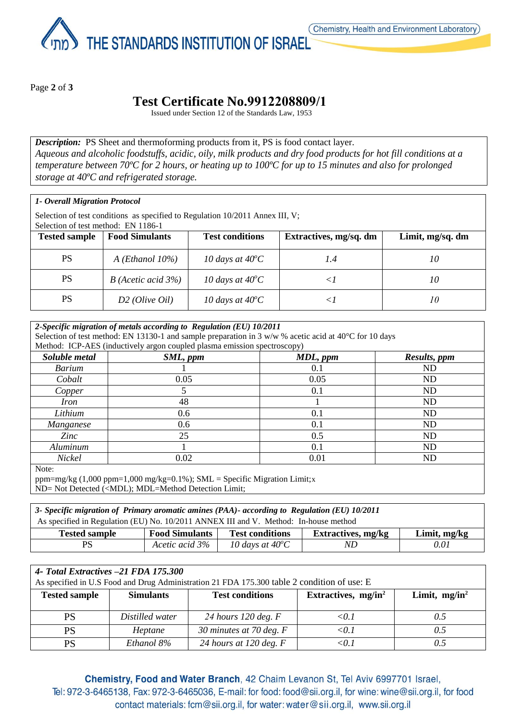THE STANDARDS INSTITUTION OF ISRAEL

Page **2** of **3**

# **Test Certificate No.9912208809/1**

Issued under Section 12 of the Standards Law, 1953

**Description:** PS Sheet and thermoforming products from it, PS is food contact layer. *Aqueous and alcoholic foodstuffs, acidic, oily, milk products and dry food products for hot fill conditions at a temperature between 70ºC for 2 hours, or heating up to 100ºC for up to 15 minutes and also for prolonged storage at 40ºC and refrigerated storage.*

#### *1- Overall Migration Protocol*

Selection of test conditions as specified to Regulation 10/2011 Annex III, V; Selection of test method: EN 1186-1

| <b>Tested sample</b> | <b>Food Simulants</b> | <b>Test conditions</b>    | Extractives, mg/sq. dm | Limit, mg/sq. dm |
|----------------------|-----------------------|---------------------------|------------------------|------------------|
| <b>PS</b>            | A (Ethanol $10\%$ )   | 10 days at $40^{\circ}$ C |                        | 10               |
| PS                   | $B$ (Acetic acid 3%)  | 10 days at $40^{\circ}$ C |                        | 10               |
| PS                   | $D2$ (Olive Oil)      | 10 days at $40^{\circ}$ C |                        | 10               |

| 2-Specific migration of metals according to Regulation (EU) 10/2011<br>Selection of test method: EN 13130-1 and sample preparation in 3 w/w % acetic acid at 40°C for 10 days<br>Method: ICP-AES (inductively argon coupled plasma emission spectroscopy) |          |          |              |  |
|-----------------------------------------------------------------------------------------------------------------------------------------------------------------------------------------------------------------------------------------------------------|----------|----------|--------------|--|
| Soluble metal                                                                                                                                                                                                                                             | SML, ppm | MDL, ppm | Results, ppm |  |
| <b>Barium</b>                                                                                                                                                                                                                                             |          | 0.1      | ND           |  |
| Cobalt                                                                                                                                                                                                                                                    | 0.05     | 0.05     | ND           |  |
| Copper                                                                                                                                                                                                                                                    |          | 0.1      | ND           |  |
| <i>Iron</i>                                                                                                                                                                                                                                               | 48       |          | ND           |  |
| Lithium                                                                                                                                                                                                                                                   | 0.6      | 0.1      | ND           |  |
| Manganese                                                                                                                                                                                                                                                 | 0.6      | 0.1      | ND           |  |
| Zinc                                                                                                                                                                                                                                                      | 25       | 0.5      | ND           |  |
| Aluminum                                                                                                                                                                                                                                                  |          | 0.1      | ND           |  |
| Nickel                                                                                                                                                                                                                                                    | 0.02     | 0.01     | ND           |  |
| $N$ ote $\cdot$                                                                                                                                                                                                                                           |          |          |              |  |

Note:

ppm=mg/kg  $(1,000 \text{ ppm}=1,000 \text{ mg/kg}=0.1\%)$ ; SML = Specific Migration Limit;x ND= Not Detected (<MDL); MDL=Method Detection Limit;

| 3- Specific migration of Primary aromatic amines (PAA)- according to Regulation (EU) 10/2011                         |  |  |  |  |  |
|----------------------------------------------------------------------------------------------------------------------|--|--|--|--|--|
| As specified in Regulation (EU) No. 10/2011 ANNEX III and V. Method: In-house method                                 |  |  |  |  |  |
| <b>Food Simulants</b><br><b>Test conditions</b><br><b>Extractives, mg/kg</b><br>Limit, mg/kg<br><b>Tested sample</b> |  |  |  |  |  |
|                                                                                                                      |  |  |  |  |  |

| 4- Total Extractives -21 FDA 175.300<br>As specified in U.S Food and Drug Administration 21 FDA 175.300 table 2 condition of use: E |                 |                           |       |     |  |
|-------------------------------------------------------------------------------------------------------------------------------------|-----------------|---------------------------|-------|-----|--|
| <b>Tested sample</b><br><b>Simulants</b><br><b>Test conditions</b><br>Limit, $mg/in^2$<br>Extractives, $mg/in^2$                    |                 |                           |       |     |  |
| <b>PS</b>                                                                                                                           | Distilled water | 24 hours 120 deg. $F$     | < 0.1 | 0.5 |  |
| PS                                                                                                                                  | Heptane         | 30 minutes at 70 deg. $F$ | < 0.1 | 0.5 |  |
| PS                                                                                                                                  | Ethanol 8%      | 24 hours at 120 deg. $F$  | ר 0>  |     |  |

Chemistry, Food and Water Branch, 42 Chaim Levanon St, Tel Aviv 6997701 Israel, Tel: 972-3-6465138, Fax: 972-3-6465036, E-mail: for food: food@sii.org.il, for wine: wine@sii.org.il, for food contact materials: fcm@sii.org.il, for water: water@sii.org.il, www.sii.org.il